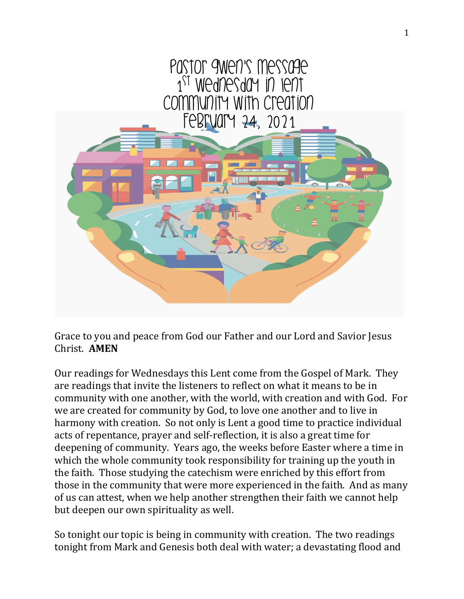

Grace to you and peace from God our Father and our Lord and Savior Jesus Christ. **AMEN**

Our readings for Wednesdays this Lent come from the Gospel of Mark. They are readings that invite the listeners to reflect on what it means to be in community with one another, with the world, with creation and with God. For we are created for community by God, to love one another and to live in harmony with creation. So not only is Lent a good time to practice individual acts of repentance, prayer and self-reflection, it is also a great time for deepening of community. Years ago, the weeks before Easter where a time in which the whole community took responsibility for training up the youth in the faith. Those studying the catechism were enriched by this effort from those in the community that were more experienced in the faith. And as many of us can attest, when we help another strengthen their faith we cannot help but deepen our own spirituality as well.

So tonight our topic is being in community with creation. The two readings tonight from Mark and Genesis both deal with water; a devastating flood and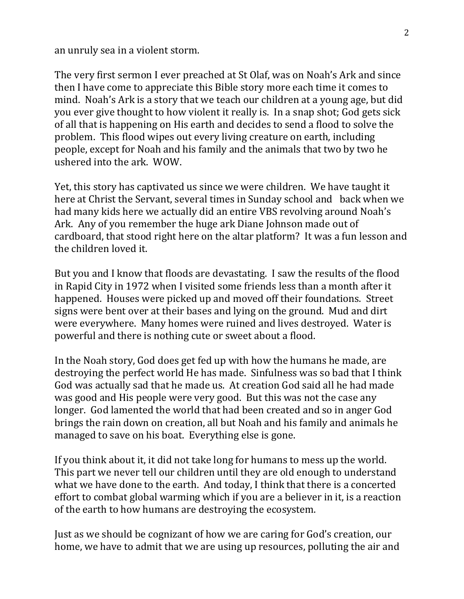an unruly sea in a violent storm.

The very first sermon I ever preached at St Olaf, was on Noah's Ark and since then I have come to appreciate this Bible story more each time it comes to mind. Noah's Ark is a story that we teach our children at a young age, but did you ever give thought to how violent it really is. In a snap shot; God gets sick of all that is happening on His earth and decides to send a flood to solve the problem. This flood wipes out every living creature on earth, including people, except for Noah and his family and the animals that two by two he ushered into the ark. WOW.

Yet, this story has captivated us since we were children. We have taught it here at Christ the Servant, several times in Sunday school and back when we had many kids here we actually did an entire VBS revolving around Noah's Ark. Any of you remember the huge ark Diane Johnson made out of cardboard, that stood right here on the altar platform? It was a fun lesson and the children loved it.

But you and I know that floods are devastating. I saw the results of the flood in Rapid City in 1972 when I visited some friends less than a month after it happened. Houses were picked up and moved off their foundations. Street signs were bent over at their bases and lying on the ground. Mud and dirt were everywhere. Many homes were ruined and lives destroyed. Water is powerful and there is nothing cute or sweet about a flood.

In the Noah story, God does get fed up with how the humans he made, are destroying the perfect world He has made. Sinfulness was so bad that I think God was actually sad that he made us. At creation God said all he had made was good and His people were very good. But this was not the case any longer. God lamented the world that had been created and so in anger God brings the rain down on creation, all but Noah and his family and animals he managed to save on his boat. Everything else is gone.

If you think about it, it did not take long for humans to mess up the world. This part we never tell our children until they are old enough to understand what we have done to the earth. And today, I think that there is a concerted effort to combat global warming which if you are a believer in it, is a reaction of the earth to how humans are destroying the ecosystem.

Just as we should be cognizant of how we are caring for God's creation, our home, we have to admit that we are using up resources, polluting the air and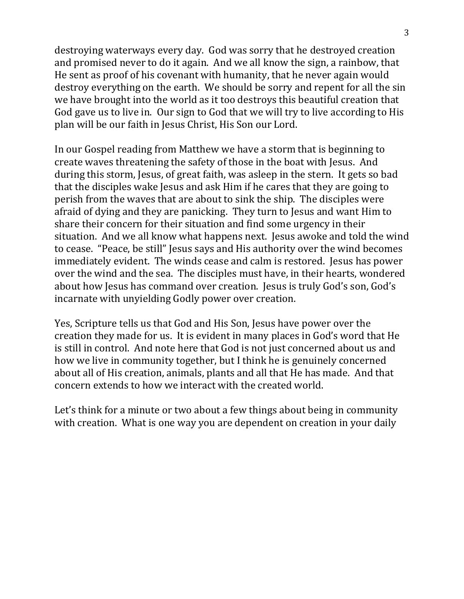destroying waterways every day. God was sorry that he destroyed creation and promised never to do it again. And we all know the sign, a rainbow, that He sent as proof of his covenant with humanity, that he never again would destroy everything on the earth. We should be sorry and repent for all the sin we have brought into the world as it too destroys this beautiful creation that God gave us to live in. Our sign to God that we will try to live according to His plan will be our faith in Jesus Christ, His Son our Lord.

In our Gospel reading from Matthew we have a storm that is beginning to create waves threatening the safety of those in the boat with Jesus. And during this storm, Jesus, of great faith, was asleep in the stern. It gets so bad that the disciples wake Jesus and ask Him if he cares that they are going to perish from the waves that are about to sink the ship. The disciples were afraid of dying and they are panicking. They turn to Jesus and want Him to share their concern for their situation and find some urgency in their situation. And we all know what happens next. Jesus awoke and told the wind to cease. "Peace, be still" Jesus says and His authority over the wind becomes immediately evident. The winds cease and calm is restored. Jesus has power over the wind and the sea. The disciples must have, in their hearts, wondered about how Jesus has command over creation. Jesus is truly God's son, God's incarnate with unyielding Godly power over creation.

Yes, Scripture tells us that God and His Son, Jesus have power over the creation they made for us. It is evident in many places in God's word that He is still in control. And note here that God is not just concerned about us and how we live in community together, but I think he is genuinely concerned about all of His creation, animals, plants and all that He has made. And that concern extends to how we interact with the created world.

Let's think for a minute or two about a few things about being in community with creation. What is one way you are dependent on creation in your daily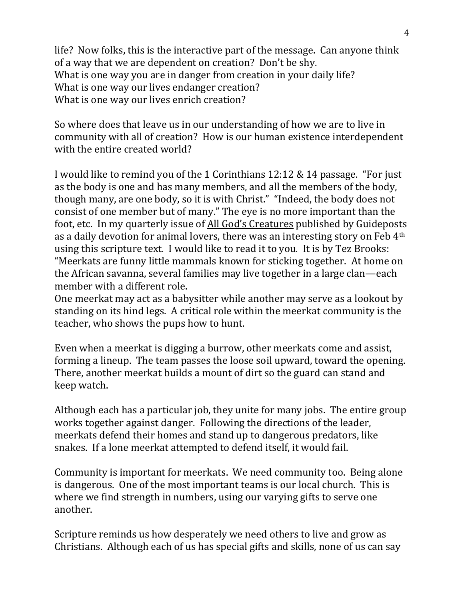life? Now folks, this is the interactive part of the message. Can anyone think of a way that we are dependent on creation? Don't be shy. What is one way you are in danger from creation in your daily life? What is one way our lives endanger creation? What is one way our lives enrich creation?

So where does that leave us in our understanding of how we are to live in community with all of creation? How is our human existence interdependent with the entire created world?

I would like to remind you of the 1 Corinthians 12:12 & 14 passage. "For just as the body is one and has many members, and all the members of the body, though many, are one body, so it is with Christ." "Indeed, the body does not consist of one member but of many." The eye is no more important than the foot, etc. In my quarterly issue of All God's Creatures published by Guideposts as a daily devotion for animal lovers, there was an interesting story on Feb 4th using this scripture text. I would like to read it to you. It is by Tez Brooks: "Meerkats are funny little mammals known for sticking together. At home on the African savanna, several families may live together in a large clan—each member with a different role.

One meerkat may act as a babysitter while another may serve as a lookout by standing on its hind legs. A critical role within the meerkat community is the teacher, who shows the pups how to hunt.

Even when a meerkat is digging a burrow, other meerkats come and assist, forming a lineup. The team passes the loose soil upward, toward the opening. There, another meerkat builds a mount of dirt so the guard can stand and keep watch.

Although each has a particular job, they unite for many jobs. The entire group works together against danger. Following the directions of the leader, meerkats defend their homes and stand up to dangerous predators, like snakes. If a lone meerkat attempted to defend itself, it would fail.

Community is important for meerkats. We need community too. Being alone is dangerous. One of the most important teams is our local church. This is where we find strength in numbers, using our varying gifts to serve one another.

Scripture reminds us how desperately we need others to live and grow as Christians. Although each of us has special gifts and skills, none of us can say